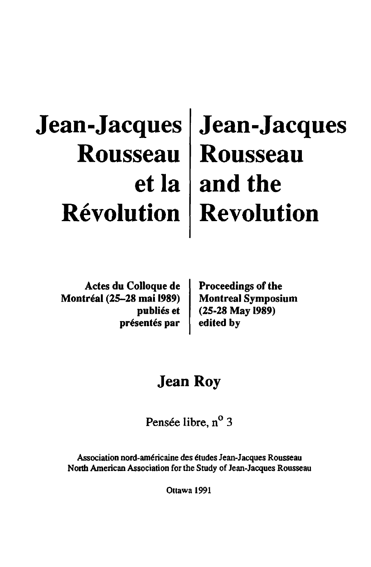# **Jean-Jacques Jean-Jacques Rousseau Rousseau etla and the Revolution Revolution**

Actes du Colloque de Montreal (25-28 mai 1989) publiés et présentés par

Proceedings of the Montreal Symposium (25-28 May 1989) edited by

### Jean Roy

Pensée libre, n<sup>o</sup> 3

Association nord-am6ricaine des 6tudes Jean-Jacques Rousseau North American Association for the Study of Jean-Jacques Rousseau

Ottawa 1991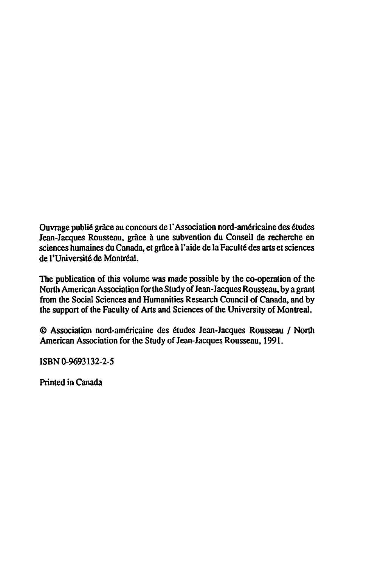Ouvrage publié grâce au concours de l'Association nord-américaine des études Jean-Jacques Rousseau, grâce à une subvention du Conseil de recherche en sciences humaines du Canada, et grâce à l'aide de la Faculté des arts et sciences de l'Université de Montréal.

The publication of this volume was made possible by the co-operation of the North American Association for the Study of Jean-Jacques Rousseau, by a grant from the Social Sciences and Humanities Research Council of Canada, and by the support of the Faculty of Arts and Sciences of the University of Montreal.

© Association nord-américaine des études Jean-Jacques Rousseau / North American Association for the Study of Jean-Jacques Rousseau, 1991.

ISBN 0-9693132-2-5

Printed in Canada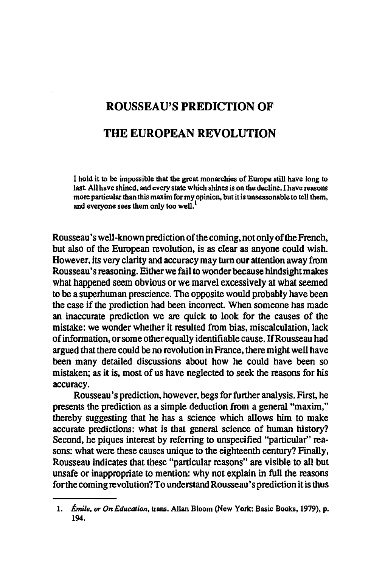## ROUSSEAU'S PREDICTION OF THE EUROPEAN REVOLUTION

I hold it to be impossible that the great monarchies of Europe still have long to last All have shined. and every state which shines is on the decline. I have reasons more particular than this maxim for my opinion, but it is unseasonable to tell them, and everyone sees them only too well.<sup>1</sup>

Rousseau's well-known prediction of the coming. not only of the French. but also of the European revolution. is as clear as anyone could wish. However, its very clarity and accuracy may turn our attention away from Rousseau's reasoning. Either we fail to wonder because hindsight makes what happened seem obvious or we marvel excessively at what seemed to be a superhuman prescience. The opposite would probably have been the case if the prediction had been incorrect. When someone has made an inaccurate prediction we are quick to look for the causes of the mistake: we wonder whether it resulted from bias, miscalculation, lack of infonnation. or some other equally identifiable cause. If Rousseau had argued that there could be no revolution in France. there might well have been many detailed discussions about how he could have been so mistaken; as it is. most of us have neglected to seek the reasons for his accuracy.

Rousseau's prediction. however. begs for further analysis. First. he presents the prediction as a simple deduction from a general "maxim," thereby suggesting that he has a science which allows him to make accurate predictions: what is that general science of human history? Second. he piques interest by referring to unspecified "particular" reasons: what were these causes unique to the eighteenth century? Finally, Rousseau indicates that these "particular reasons" are visible to all but unsafe or inappropriate to mention: why not explain in full the reasons for the coming revolution? To understand Rousseau's prediction it is thus

<sup>1.</sup> *Emile, or On Education,* trans. Allan Bloom (New York: Basic Books, 1979). p. 194.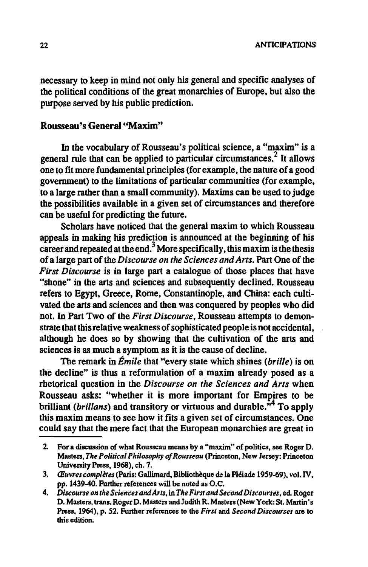necessary to keep in mind not only his general and specific analyses of the political conditions of the great monarchies of Europe, but also the purpose served by his public prediction.

#### Rousseau's General "Maxim"

In the vocabulary of Rousseau's political science, a "maxim" is a general rule that can be applied to particular circumstances.<sup>2</sup> It allows one to fit more fundamental principles (for example,the nature of a good government) to the limitations of particular communities (for example, to a large rather than a small community). Maxims can be used to judge the possibilities available in a given set of circumstances and therefore can be useful for predicting the future.

Scholars have noticed that the general maxim to which Rousseau appeals in making his prediction is announced at the beginning of his career and repeated at the end.<sup>3</sup> More specifically, this maxim is the thesis of a large part of the *Discourse on the Sciences and Arts.* Part One of the *First Discourse* is in large part a catalogue of those places that have "shone" in the arts and sciences and subsequently declined. Rousseau refers to Egypt, Greece, Rome, Constantinople, and China: each cultivated the arts and sciences and then was conquered by peoples who did not. In Part Two of the *First Discourse,* Rousseau attempts to demonstrate that this relative weakness of sophisticated people is not accidental, although he does so by showing that the cultivation of the arts and sciences is as much a symptom as it is the cause of decline.

The remark in *Emile* that "every state which shines *(brille)* is on the decline" is thus a reformulation of a maxim already posed as a rhetorical question in the *Discourse on the Sciences and Arts* when Rousseau asks: "whether it is more important for Empires to be brilliant *(brillans)* and transitory or virtuous and durable.<sup>14</sup> To apply this maxim means to see how it fits a given set of circumstances. One could say that the mere fact that the European monarchies are great in

<sup>2.</sup> For a discussion of what Rousseau means by a "maxim" of politics, see Roger D. Masters, *The Political Philosophy of Rousseau* (Princeton. New Jersey: Princeton University Press, 1968), ch. 7.

*<sup>3. (</sup>Euvrescompletes* (paris: Gallimard, Bibliotheque de la Pl6iade 1959.69), vol. IV, pp. 1439-40. Further references will be noted as O.C.

*<sup>4.</sup> Discourse* 011 *the Sciences and Arts,* in *The First and Second Discourses,* ed. Roger D. Masters, trans. Roger D. Masters and Judith R. Masters (New York: St. Martin's Press, 1964), p. 52. Further references to the *First* and *Second Discourses* are to this edition.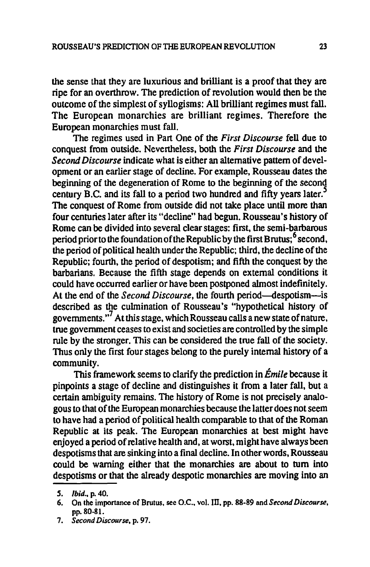the sense that they are luxurious and brilliant is a proof that they are ripe for an overthrow. The prediction of revolution would then be the outcome of the simplest of syllogisms: All brilliant regimes must fall. The European monarchies are brilliant regimes. Therefore the European monarchies must fall.

The regimes used in Part One of the *First Discourse* fell due to conquest from outside. Nevertheless, both the *First Discourse* and the *Second Discourse* indicate what is either an alternative pattern of development or an earlier stage of decline. For example, Rousseau dates the beginning of the degeneration of Rome to the beginning of the second century B.C. and its fall to a period two hundred and fifty years later.<sup>5</sup> The conquest of Rome from outside did not take place until more than four centuries later after its "decline" had begun. Rousseau's history of Rome can be divided into several clear stages: first, the semi-barbarous period prior to the foundation of the Republic by the first Brutus;  $6$  second, the period of political health under the Republic; third, the decline of the Republic; fourth, the period of despotism; and fifth the conquest by the barbarians. Because the fifth stage depends on external conditions it could have occurred earlier or have been postponed almost indefinitely. At the end of the *Second Discourse*, the fourth period-despotism--is described as the culmination of Rousseau's "hypothetical history of governments."<sup>7</sup> At this stage, which Rousseau calls a new state of nature, true government ceases to exist and societies are controlled by the simple rule by the stronger. *This* can be considered the true fall of the society. Thus only the first four stages belong to the purely internal history of a community.

*This* framework seems to clarify the prediction in *Emile* because it pinpoints a stage of decline and distinguishes it from a later fall, but a certain ambiguity remains. The history of Rome is not precisely analogous to that of the European monarchies because the latter does not seem to have had a period of political health comparable to that of the Roman Republic at its peak. The European monarchies at best might have enjoyed a period of relative health and, at worst, might have always been despotisms that are sinking into a final decline. In other words, Rousseau could be warning either that the monarchies are about to tum into despotisms or that the already despotic monarchies are moving into an

*S. Ibid .•* p. 40.

<sup>6.</sup> On the importance of Brutus, see O.C., vol. III, pp. 88-89 and *Second Discourse*, pp.80-81.

<sup>7.</sup> *Second Discourse,* p. 97.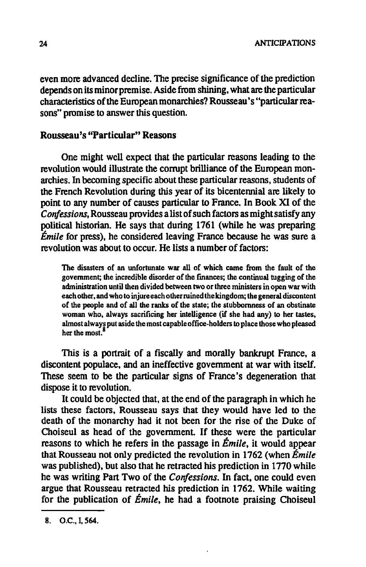even more advanced decline. The precise significance of the prediction depends on its minor premise. Aside from shining. what are the particular characteristics of the European monarchies? Rousseau's "particular reasons" promise to answer this question.

#### Rousseau's ''Particular'' Reasons

One might well expect that the particular reasons leading to the revolution would illustrate the corrupt brilliance of the European monarchies. In becoming specific about these particular reasons. students of the French Revolution during this year of its bicentennial are likely to point to any number of causes particular to France. In Book XI of the *Confessions.* Rousseau provides a list of such factors as might satisfy any political historian. He says that during 1761 (while he was preparing *Emile* for press). he considered leaving France because he was sure a revolution was about to occur. He lists a number of factors:

The disasters of an unfortunate war all of which came from the fault of the government; the incredible disorder of the fmances; the continual tugging of the administration until then divided between two or three ministers in open war with each other, and who to injure each other ruined the kingdom; the general discontent of the people and of all the ranks of the state; the stubbornness of an obstinate woman who, always sacrificing her intelligence (if she had any) to her tastes, almost always put aside the most capable office-holders to place those who pleased her the most.

This is a portrait of a fiscally and morally bankrupt France. a discontent populace. and an ineffective government at war with itself. These seem to be the particular signs of France's degeneration that dispose it to revolution.

It could be objected that. at the end of the paragraph in which he lists these factors. Rousseau says that they would have led to the death of the monarchy had it not been for the rise of the Duke of Choiseul as head of the government. If these were the particular reasons to which he refers in the passage in *Emile.* it would appear that Rousseau not only predicted the revolution in 1762 (when *Emile*  was published). but also that he retracted his prediction in 1770 while he was writing Part Two of the *Confessions.* In fact. one could even argue that Rousseau retracted his prediction in 1762. While waiting for the publication of *Emile.* he had a footnote praising Choiseul

<sup>8.</sup> O.C., 1,564.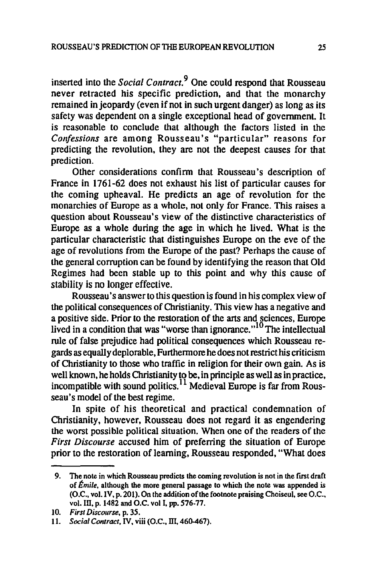inserted into the *Social Contract.9* One could respond that Rousseau never retracted his specific prediction, and that the monarchy remained in jeopardy (even if not in such urgent danger) as long as its safety was dependent on a single exceptional head of government. It is reasonable to conclude that although the factors listed in the Confessions are among Rousseau's "particular" reasons for predicting the revolution, they are not the deepest causes for that prediction.

Other considerations confirm that Rousseau's description of France in 1761-62 does not exhaust his list of particular causes for the coming upheaval. He predicts an age of revolution for the monarchies of Europe as a whole, not only for France. This raises a question about Rousseau's view of the distinctive characteristics of Europe as a whole during the age in which he lived. What is the particular characteristic that distinguishes Europe on the eve of the age of revolutions from the Europe of the past? Perhaps the cause of the general corruption can be found by identifying the reason that Old Regimes had been stable up to this point and why this cause of stability is no longer effective.

Rousseau's answer to this question is found in his complex view of the political consequences of Christianity. This view has a negative and a positive side. Prior to the restoration of the arts and sciences, Europe lived in a condition that was "worse than ignorance."<sup>10</sup> The intellectual rule of false prejudice had political consequences which Rousseau regards as equally deplorable, Furthermore he does not restrict his criticism of Christianity to those who traffic in religion for their own gain. As is well known, he holds Christianity to be, in principle as well as in practice, incompatible with sound politics.<sup>11</sup> Medieval Europe is far from Rousseau's model of the best regime.

In spite of his theoretical and practical condemnation of Christianity. however, Rousseau does not regard it as engendering the worst possible political situation. When one of the readers of the *First Discourse* accused him of preferring the situation of Europe prior to the restoration of learning, Rousseau responded, "What does

<sup>9.</sup> The note in which Rousseau predicts the coming revolution is not in the first draft of *Emile.* although the more general passage to which the note was appended is (O.C., vol. IV, p. 201). On the addition of the footnote praising Choiseul, see O.C., vol.III, p. 1482 and O.C. vol I, pp. 576-77.

<sup>10.</sup> *First Discourse,* p. 35.

<sup>11.</sup> *Social Contract.* IV. viii (O.C., m. 460-467).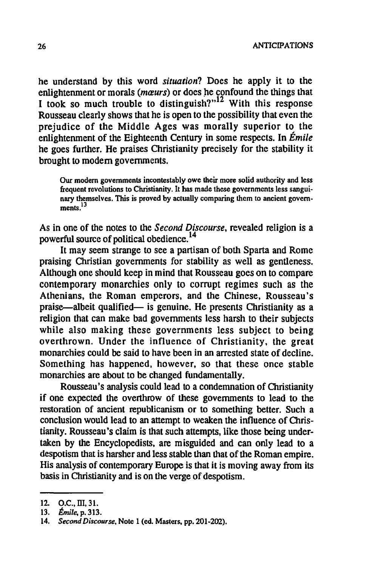26 ANTICIPATIONS

he understand by this word *situation?* Does he apply it to the enlightenment or morals (maeurs) or does he confound the things that I took so much trouble to distinguish? $n^{12}$  With this response Rousseau clearly shows that he is open to the possibility that even the prejudice of the Middle Ages was morally superior to the enlightenment of the Eighteenth Century in some respects. In *Emile*  he goes further. He praises Christianity precisely for the stability it brought to modem governments.

Our modem governments incontestably owe their more solid authority and less frequent revolutions to Christianity. It has made these governments less sanguinary themselves. This is proved by actually comparing them to ancient govern $ments<sup>13</sup>$ 

As in one of the notes to the *Second Discourse,* revealed religion is a powerful source of political obedience.<sup>14</sup>

It may seem strange to see a partisan of both Sparta and Rome praising Christian governments for stability as well as gentleness. Although one should keep in mind that Rousseau goes on to compare contemporary monarchies only to corrupt regimes such as the Athenians, the Roman emperors, and the Chinese, Rousseau's praise—albeit qualified— is genuine. He presents Christianity as a religion that can make bad governments less harsh to their subjects while also making these governments less subject to being overthrown. Under the influence of Christianity, the great monarchies could be said to have been in an arrested state of decline. Something has happened, however. so that these once stable monarchies are about to be changed fundamentally.

Rousseau's analysis could lead to a condemnation of Christianity if one expected the overthrow of these governments to lead to the restoration of ancient republicanism or to something better. Such a conclusion would lead to an attempt to weaken the influence of Christianity. Rousseau's claim is that such attempts, like those being undertaken by the Encyclopedists. are misguided and can only lead to a despotism that is harsher and less stable than that of the Roman empire. His analysis of contemporary Europe is that it is moving away from its basis in Christianity and is on the verge of despotism.

<sup>12.</sup> D.C., III,31.

*<sup>13.</sup> Emile,* p. 313.

*<sup>14.</sup> Second Discourse,* Note 1 (ed. Masters, pp.201-202).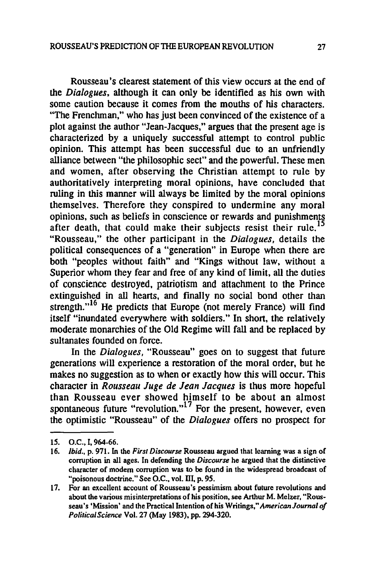Rousseau's clearest statement of this view occurs at the end of the *Dialogues,* although it can only be identified as his own with some caution because it comes from the mouths of his characters. "The Frenchman," who has just been convinced of the existence of a plot against the author "Jean-Jacques," argues that the present age is characterized by a uniquely successful attempt to control public opinion. This attempt has been successful due to an unfriendly alliance between "the philosophic sect" and the powerful. These men and women, after observing the Christian attempt to rule by authoritatively interpreting moral opinions, have concluded that ruling in this manner will always be limited by the moral opinions themselves. Therefore they conspired to undermine any moral opinions, such as beliefs in conscience or rewards and punishments after death, that could make their subjects resist their rule.<sup>15</sup> "Rousseau," the other participant in the *Dialogues,* details the political consequences of a "generation" in Europe when there are both "peoples without faith" and "Kings without law, without a Superior whom they fear and free of any kind of limit, all the duties of conscience destroyed. patriotism and attachment to the Prince extinguished in all hearts, and finally no social bond other than strength. $16$ <sup>16</sup> He predicts that Europe (not merely France) will find itself "inundated everywhere with soldiers." In short, the relatively moderate monarchies of the Old Regime will fall and be replaced by sultanates founded on force.

In the *Dialogues,* "Rousseau" goes on to suggest that future generations will experience a restoration of the moral order. but he makes no suggestion as to when or exactly how this will occur. This character in *Rousseau luge de lean Jacques* is thus more hopeful than Rousseau ever showed himself to be about an almost spontaneous future "revolution."<sup>1'</sup> For the present, however, even the optimistic "Rousseau" of the *Dialogues* offers no prospect for

<sup>15.</sup> O.C., I, 964-66.

*<sup>16.</sup> Ibid .•* p. 971. In the *First Discourse* Rousseau argued that learning was a sign of corruption in all ages. In defending the *Discourse* he argued that the distinctive character of modem corruption was to be found in the widespread broadcast of "poisonous doctrine." See O.C., vol. III, p. 95.

<sup>17.</sup> For an excellent account of Rousseau's pessimism about future revolutions and about the various misinterpretations of his position, see Arthur M. Melzer. "Rousseau's • Mission' and the Practical Intention of his Writings," *American Journal of PolilicalScience* Vol. 27 (May 1983). pp. 294-320.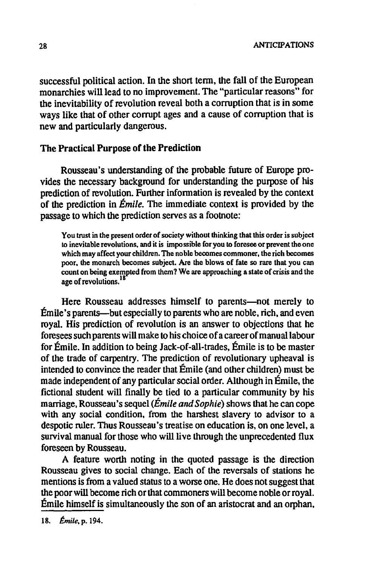successful political action. In the short term, the fall of the European monarchies will lead to no improvement. The "particular reasons" for the inevitability of revolution reveal both a corruption that is in some ways like that of other corrupt ages and a cause of corruption that is new and particularly dangerous.

#### The Practical Purpose of the Prediction

Rousseau's understanding of the probable future of Europe provides the necessary background for understanding the purpose of his prediction of revolution. Further information is revealed by the context of the prediction in *Emile.* The immediate context is provided by the passage to which the prediction serves as a footnote:

You trust in the present order of society without thinking that this order is subject to inevitable revolutions, and it is impossible for you to foresee or prevent the one which may affect your children. The noble becomes commoner, the rich becomes poor. the monarch becomes subject. Are the blows of fate so rare that you can count on being exempted from them? We are approaching a state of crisis and the age of revolutions.<sup>18</sup>

Here Rousseau addresses himself to parents-not merely to Emile's parents-but especially to parents who are noble, rich, and even royal. His prediction of revolution is an answer to objections that he foresees such parents will make to his choice of a career of manual labour for Emile. In addition to being Jack-of-all-trades, Emile is to be master of the trade of carpentry. The prediction of revolutionary upheaval is intended to convince the reader that Emile (and other children) must be made independent of any particular social order. Although in Emile. the fictional student will finally be tied to a particular community by his marriage, Rousseau's sequel *(Emile and* Sophie) shows that he can cope with any social condition, from the harshest slavery to advisor to a despotic ruler. Thus Rousseau's treatise on education is, on one level. a survival manual for those who will live through the unprecedented flux foreseen by Rousseau.

A feature worth noting in the quoted passage is the direction Rousseau gives to social change. Each of the reversals of stations he mentions is from a valued status to a worse one. He does not suggest that the poor will become rich or that commoners will become noble or royal. Emile himself is simultaneously the son of an aristocrat and an orphan,

<sup>18.</sup> *Emile.* p. 194.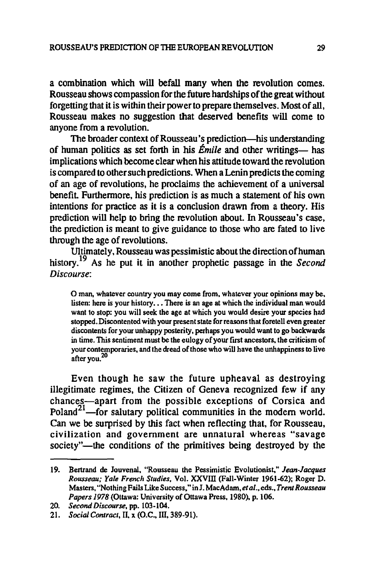a combination which will befall many when the revolution comes. Rousseau shows compassion for the future hanlships of the great without forgetting that it is within their power to prepare themselves. Most of all, Rousseau makes no suggestion that deserved benefits will come to anyone from a revolution.

The broader context of Rousseau's prediction-his understanding of human politics as set forth in his *Émile* and other writings- has implications which become clear when his attitude toward the revolution is compared to other such predictions. When a Lenin predicts the coming of an age of revolutions, he proclaims the achievement of a universal benefit. Furthermore, his prediction is as much a statement of his own intentions for practice as it is a conclusion drawn from a theory. His prediction will help to bring the revolution about. In Rousseau's case. the prediction is meant to give guidance to those who are fated to live through the age of revolutions.

Ultimately, Rousseau was pessimistic about the direction of human history.19 As he put it in another prophetic passage in the *Second Discourse:* 

o man, whatever country you may come from. whatever your opinions may be, listen: here is your history... There is an age at which the individual man would want to stop: you will seek the age at which you would desire your species had stopped. Discontented with your present state for reasons that foretell even greater discontents for your unhappy posterity, perhaps you would want to go backwards in time. This sentiment must be the eulogy of your first ancestors, the criticism of your contemporaries, and the dread of those who will have the unhappiness to live after you.<sup>20</sup>

Even though he saw the future upheaval as destroying illegitimate regimes. the Citizen of Geneva recognized few if any chances-apart from the possible exceptions of Corsica and Poland<sup>21</sup>-for salutary political communities in the modern world. Can we be surprised by this fact when reflecting that. for Rousseau. civilization and government are unnatural whereas "savage society"-the conditions of the primitives being destroyed by the

<sup>19.</sup> Bertrand de Iouvenal, "Rousseau the Pessimistic Evolutionist," *Jean·Jacques Rousseau; Yale French Studies,* Vol. XXVIll (Fall-Winter 1961.62): Roger D. Masters, "Nothing Fails Like Success," in I. MacAdam. *et al .•* eds., *Trent Rousseau Papers* 1978 (Ottawa: University of Ottawa Press, 1980). p. 106.

*<sup>20.</sup> Second Discourse,* pp. 103·104.

<sup>21.</sup> *Social Contract*, II, x (O.C., III, 389-91).